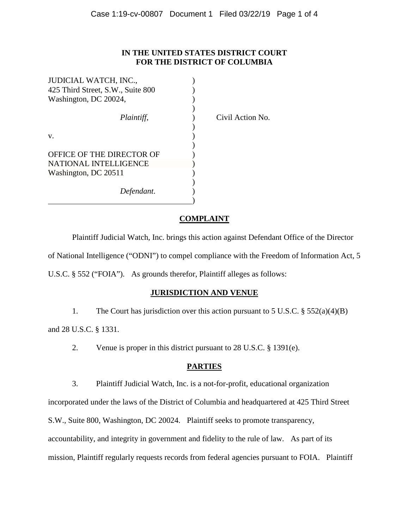### **IN THE UNITED STATES DISTRICT COURT FOR THE DISTRICT OF COLUMBIA**

| JUDICIAL WATCH, INC.,             |  |
|-----------------------------------|--|
| 425 Third Street, S.W., Suite 800 |  |
| Washington, DC 20024,             |  |
|                                   |  |
| Plaintiff,                        |  |
|                                   |  |
| V.                                |  |
|                                   |  |
| OFFICE OF THE DIRECTOR OF         |  |
| <b>NATIONAL INTELLIGENCE</b>      |  |
| Washington, DC 20511              |  |
|                                   |  |
| Defendant.                        |  |
|                                   |  |

*Plaintiff*, ) Civil Action No.

## **COMPLAINT**

Plaintiff Judicial Watch, Inc. brings this action against Defendant Office of the Director of National Intelligence ("ODNI") to compel compliance with the Freedom of Information Act, 5 U.S.C. § 552 ("FOIA"). As grounds therefor, Plaintiff alleges as follows:

# **JURISDICTION AND VENUE**

1. The Court has jurisdiction over this action pursuant to 5 U.S.C. § 552(a)(4)(B)

and 28 U.S.C. § 1331.

2. Venue is proper in this district pursuant to 28 U.S.C. § 1391(e).

# **PARTIES**

3. Plaintiff Judicial Watch, Inc. is a not-for-profit, educational organization

incorporated under the laws of the District of Columbia and headquartered at 425 Third Street

S.W., Suite 800, Washington, DC 20024. Plaintiff seeks to promote transparency,

accountability, and integrity in government and fidelity to the rule of law. As part of its

mission, Plaintiff regularly requests records from federal agencies pursuant to FOIA. Plaintiff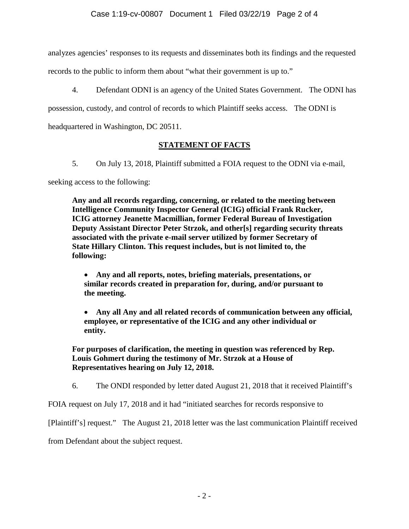analyzes agencies' responses to its requests and disseminates both its findings and the requested

records to the public to inform them about "what their government is up to."

4. Defendant ODNI is an agency of the United States Government. The ODNI has

possession, custody, and control of records to which Plaintiff seeks access. The ODNI is

headquartered in Washington, DC 20511.

# **STATEMENT OF FACTS**

5. On July 13, 2018, Plaintiff submitted a FOIA request to the ODNI via e-mail,

seeking access to the following:

**Any and all records regarding, concerning, or related to the meeting between Intelligence Community Inspector General (ICIG) official Frank Rucker, ICIG attorney Jeanette Macmillian, former Federal Bureau of Investigation Deputy Assistant Director Peter Strzok, and other[s] regarding security threats associated with the private e-mail server utilized by former Secretary of State Hillary Clinton. This request includes, but is not limited to, the following:**

• **Any and all reports, notes, briefing materials, presentations, or similar records created in preparation for, during, and/or pursuant to the meeting.**

• **Any all Any and all related records of communication between any official, employee, or representative of the ICIG and any other individual or entity.**

**For purposes of clarification, the meeting in question was referenced by Rep. Louis Gohmert during the testimony of Mr. Strzok at a House of Representatives hearing on July 12, 2018.**

6. The ONDI responded by letter dated August 21, 2018 that it received Plaintiff's

FOIA request on July 17, 2018 and it had "initiated searches for records responsive to

[Plaintiff's] request." The August 21, 2018 letter was the last communication Plaintiff received

from Defendant about the subject request.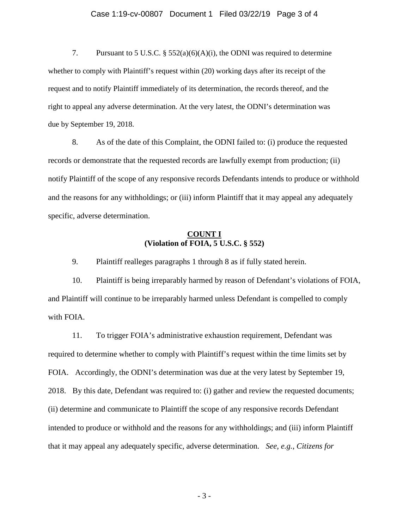#### Case 1:19-cv-00807 Document 1 Filed 03/22/19 Page 3 of 4

7. Pursuant to 5 U.S.C. § 552(a)(6)(A)(i), the ODNI was required to determine whether to comply with Plaintiff's request within (20) working days after its receipt of the request and to notify Plaintiff immediately of its determination, the records thereof, and the right to appeal any adverse determination. At the very latest, the ODNI's determination was due by September 19, 2018.

8. As of the date of this Complaint, the ODNI failed to: (i) produce the requested records or demonstrate that the requested records are lawfully exempt from production; (ii) notify Plaintiff of the scope of any responsive records Defendants intends to produce or withhold and the reasons for any withholdings; or (iii) inform Plaintiff that it may appeal any adequately specific, adverse determination.

### **COUNT I (Violation of FOIA, 5 U.S.C. § 552)**

9. Plaintiff realleges paragraphs 1 through 8 as if fully stated herein.

10. Plaintiff is being irreparably harmed by reason of Defendant's violations of FOIA, and Plaintiff will continue to be irreparably harmed unless Defendant is compelled to comply with FOIA.

11. To trigger FOIA's administrative exhaustion requirement, Defendant was required to determine whether to comply with Plaintiff's request within the time limits set by FOIA. Accordingly, the ODNI's determination was due at the very latest by September 19, 2018. By this date, Defendant was required to: (i) gather and review the requested documents; (ii) determine and communicate to Plaintiff the scope of any responsive records Defendant intended to produce or withhold and the reasons for any withholdings; and (iii) inform Plaintiff that it may appeal any adequately specific, adverse determination. *See*, *e.g.*, *Citizens for* 

- 3 -